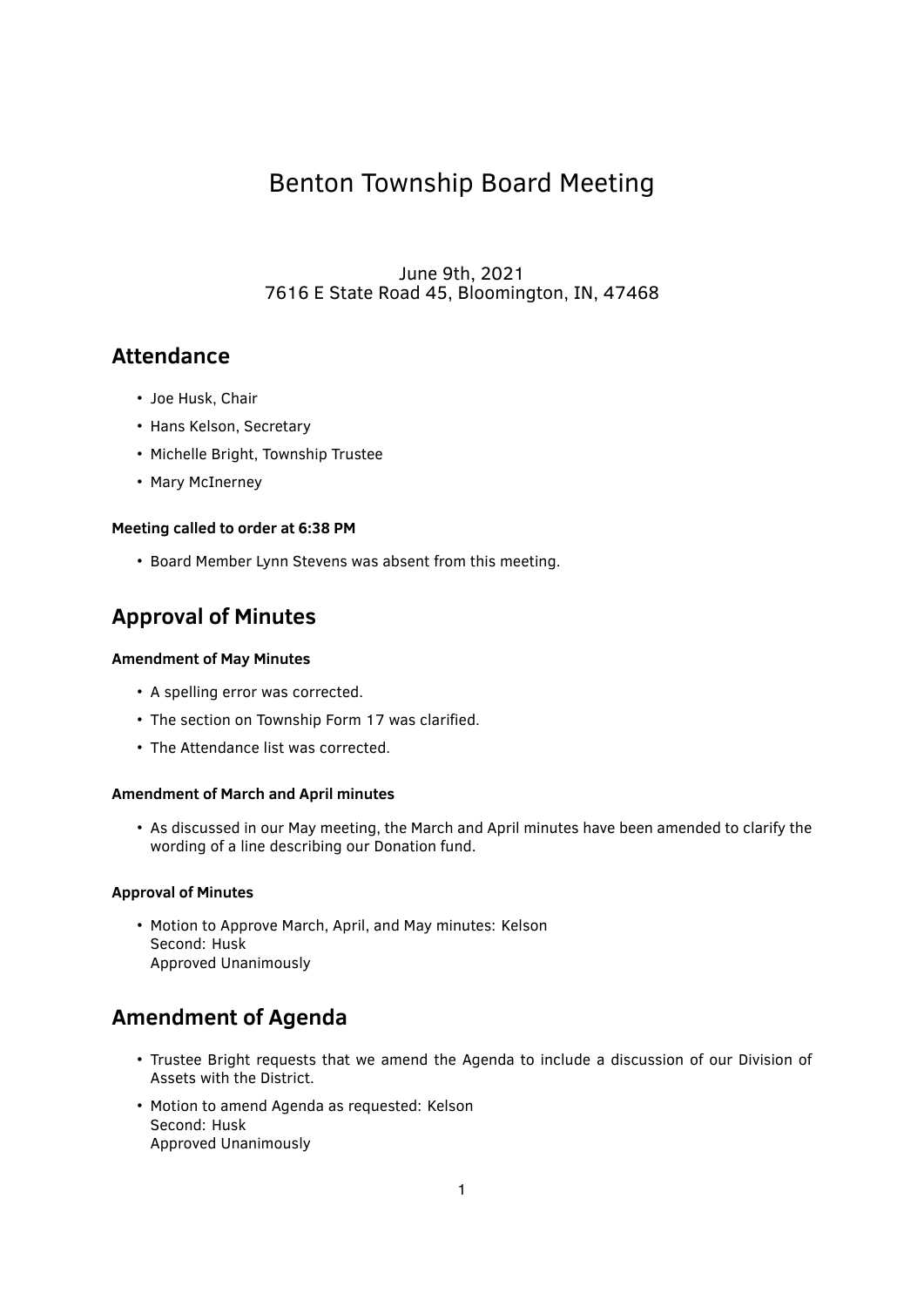# Benton Township Board Meeting

June 9th, 2021 7616 E State Road 45, Bloomington, IN, 47468

### **Attendance**

- Joe Husk, Chair
- Hans Kelson, Secretary
- Michelle Bright, Township Trustee
- Mary McInerney

### **Meeting called to order at 6:38 PM**

• Board Member Lynn Stevens was absent from this meeting.

## **Approval of Minutes**

### **Amendment of May Minutes**

- A spelling error was corrected.
- The section on Township Form 17 was clarified.
- The Attendance list was corrected.

### **Amendment of March and April minutes**

• As discussed in our May meeting, the March and April minutes have been amended to clarify the wording of a line describing our Donation fund.

### **Approval of Minutes**

• Motion to Approve March, April, and May minutes: Kelson Second: Husk Approved Unanimously

## **Amendment of Agenda**

- Trustee Bright requests that we amend the Agenda to include a discussion of our Division of Assets with the District.
- Motion to amend Agenda as requested: Kelson Second: Husk Approved Unanimously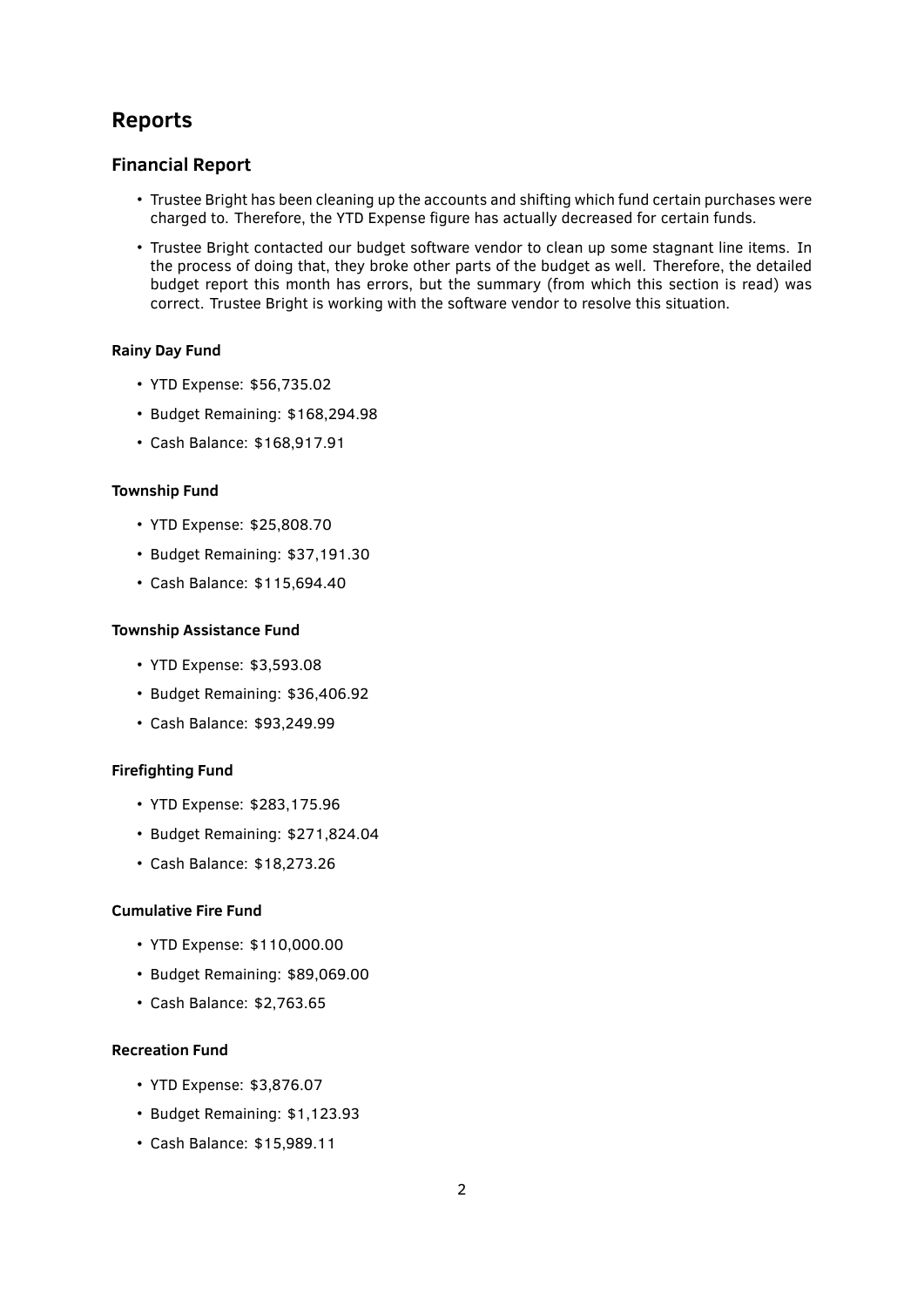## **Reports**

### **Financial Report**

- Trustee Bright has been cleaning up the accounts and shifting which fund certain purchases were charged to. Therefore, the YTD Expense figure has actually decreased for certain funds.
- Trustee Bright contacted our budget software vendor to clean up some stagnant line items. In the process of doing that, they broke other parts of the budget as well. Therefore, the detailed budget report this month has errors, but the summary (from which this section is read) was correct. Trustee Bright is working with the software vendor to resolve this situation.

### **Rainy Day Fund**

- YTD Expense: \$56,735.02
- Budget Remaining: \$168,294.98
- Cash Balance: \$168,917.91

### **Township Fund**

- YTD Expense: \$25,808.70
- Budget Remaining: \$37,191.30
- Cash Balance: \$115,694.40

### **Township Assistance Fund**

- YTD Expense: \$3,593.08
- Budget Remaining: \$36,406.92
- Cash Balance: \$93,249.99

### **Firefighting Fund**

- YTD Expense: \$283,175.96
- Budget Remaining: \$271,824.04
- Cash Balance: \$18,273.26

### **Cumulative Fire Fund**

- YTD Expense: \$110,000.00
- Budget Remaining: \$89,069.00
- Cash Balance: \$2,763.65

### **Recreation Fund**

- YTD Expense: \$3,876.07
- Budget Remaining: \$1,123.93
- Cash Balance: \$15,989.11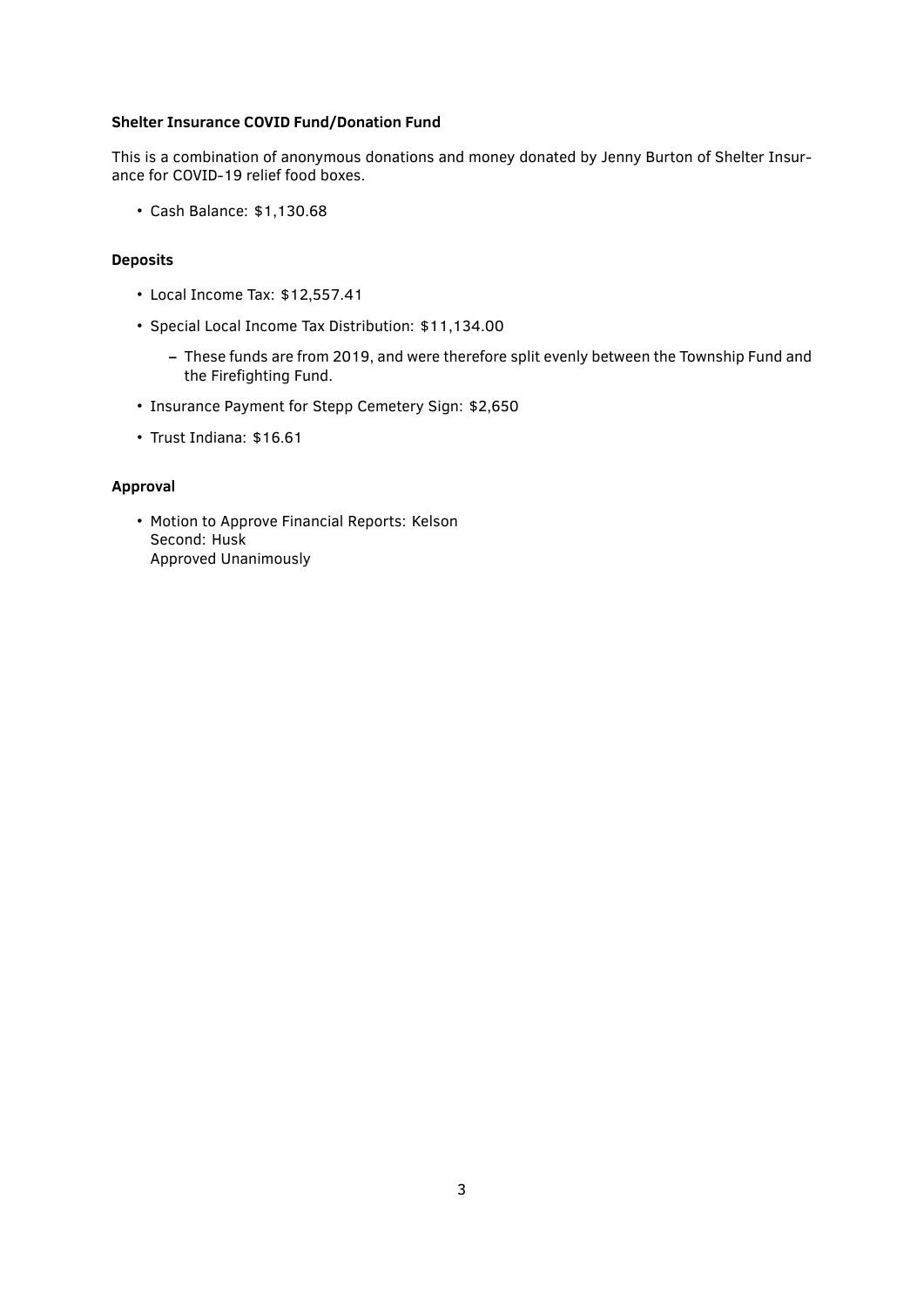### **Shelter Insurance COVID Fund/Donation Fund**

This is a combination of anonymous donations and money donated by Jenny Burton of Shelter Insurance for COVID-19 relief food boxes.

• Cash Balance: \$1,130.68

### **Deposits**

- Local Income Tax: \$12,557.41
- Special Local Income Tax Distribution: \$11,134.00
	- **–** These funds are from 2019, and were therefore split evenly between the Township Fund and the Firefighting Fund.
- Insurance Payment for Stepp Cemetery Sign: \$2,650
- Trust Indiana: \$16.61

#### **Approval**

• Motion to Approve Financial Reports: Kelson Second: Husk Approved Unanimously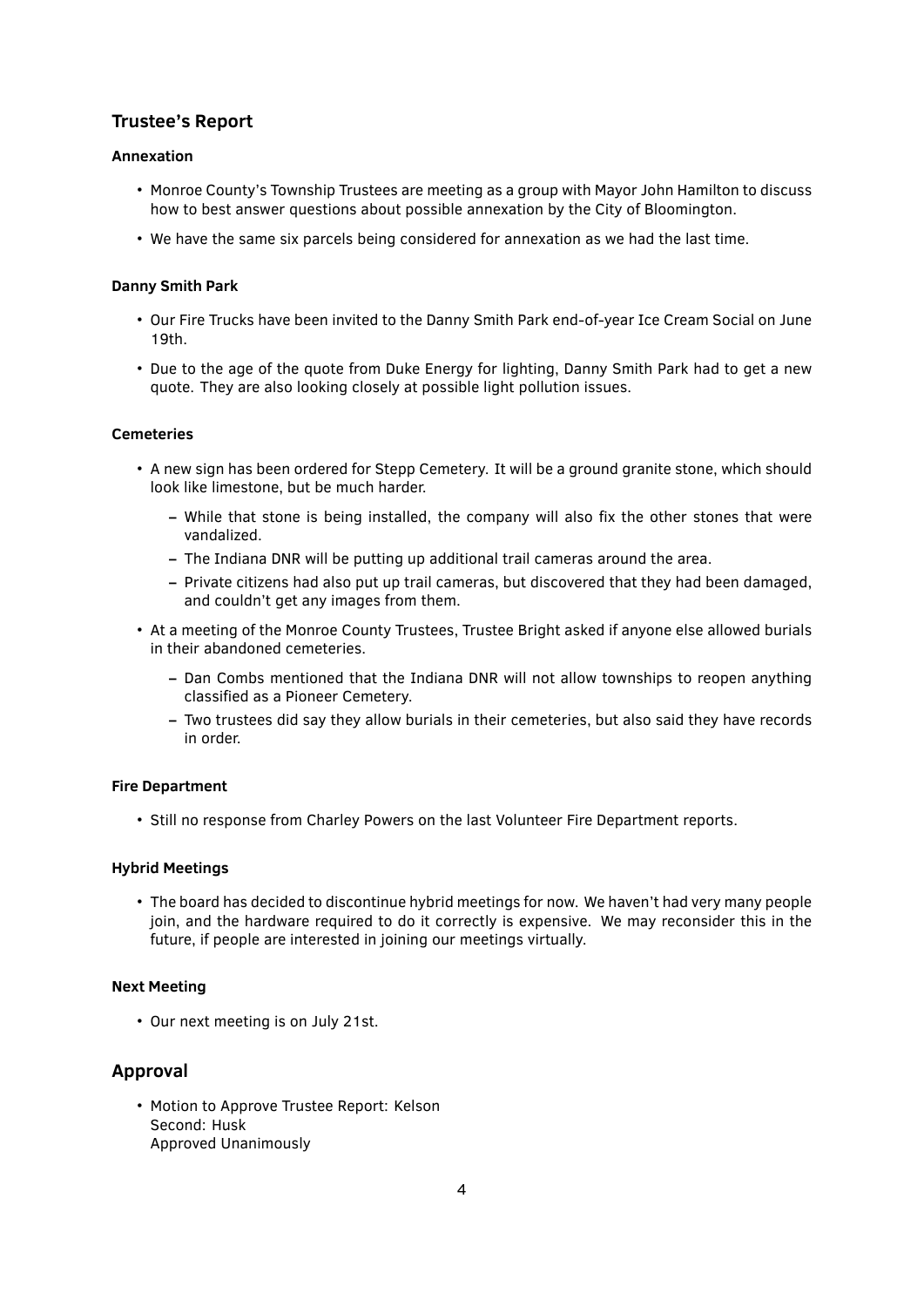### **Trustee's Report**

### **Annexation**

- Monroe County's Township Trustees are meeting as a group with Mayor John Hamilton to discuss how to best answer questions about possible annexation by the City of Bloomington.
- We have the same six parcels being considered for annexation as we had the last time.

### **Danny Smith Park**

- Our Fire Trucks have been invited to the Danny Smith Park end-of-year Ice Cream Social on June 19th.
- Due to the age of the quote from Duke Energy for lighting, Danny Smith Park had to get a new quote. They are also looking closely at possible light pollution issues.

### **Cemeteries**

- A new sign has been ordered for Stepp Cemetery. It will be a ground granite stone, which should look like limestone, but be much harder.
	- **–** While that stone is being installed, the company will also ̬x the other stones that were vandalized.
	- **–** The Indiana DNR will be putting up additional trail cameras around the area.
	- **–** Private citizens had also put up trail cameras, but discovered that they had been damaged, and couldn't get any images from them.
- At a meeting of the Monroe County Trustees, Trustee Bright asked if anyone else allowed burials in their abandoned cemeteries.
	- **–** Dan Combs mentioned that the Indiana DNR will not allow townships to reopen anything classified as a Pioneer Cemetery.
	- **–** Two trustees did say they allow burials in their cemeteries, but also said they have records in order.

### **Fire Department**

• Still no response from Charley Powers on the last Volunteer Fire Department reports.

### **Hybrid Meetings**

• The board has decided to discontinue hybrid meetings for now. We haven't had very many people join, and the hardware required to do it correctly is expensive. We may reconsider this in the future, if people are interested in joining our meetings virtually.

### **Next Meeting**

• Our next meeting is on July 21st.

### **Approval**

• Motion to Approve Trustee Report: Kelson Second: Husk Approved Unanimously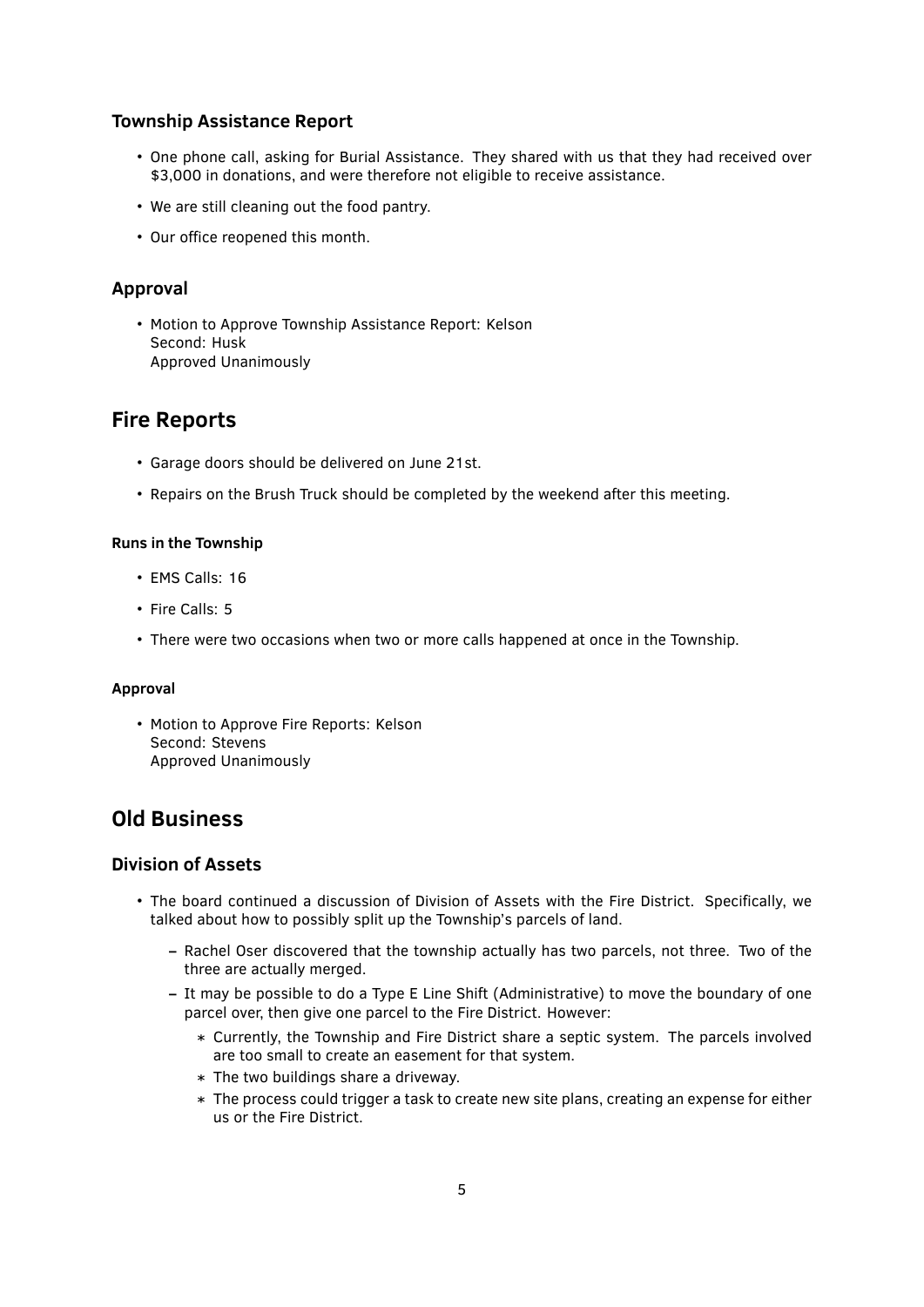### **Township Assistance Report**

- One phone call, asking for Burial Assistance. They shared with us that they had received over \$3,000 in donations, and were therefore not eligible to receive assistance.
- We are still cleaning out the food pantry.
- Our office reopened this month.

### **Approval**

• Motion to Approve Township Assistance Report: Kelson Second: Husk Approved Unanimously

### **Fire Reports**

- Garage doors should be delivered on June 21st.
- Repairs on the Brush Truck should be completed by the weekend after this meeting.

### **Runs in the Township**

- EMS Calls: 16
- Fire Calls: 5
- There were two occasions when two or more calls happened at once in the Township.

### **Approval**

• Motion to Approve Fire Reports: Kelson Second: Stevens Approved Unanimously

## **Old Business**

### **Division of Assets**

- The board continued a discussion of Division of Assets with the Fire District. Specifically, we talked about how to possibly split up the Township's parcels of land.
	- **–** Rachel Oser discovered that the township actually has two parcels, not three. Two of the three are actually merged.
	- **–** It may be possible to do a Type E Line Shift (Administrative) to move the boundary of one parcel over, then give one parcel to the Fire District. However:
		- \* Currently, the Township and Fire District share a septic system. The parcels involved are too small to create an easement for that system.
		- \* The two buildings share a driveway.
		- \* The process could trigger a task to create new site plans, creating an expense for either us or the Fire District.